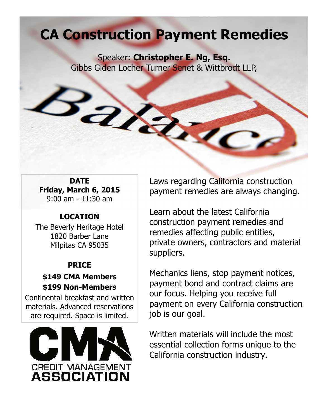# CA Construction Payment Remedies

Speaker: Christopher E. Ng, Esq. Gibbs Giden Locher Turner Senet & Wittbrodt LLP,

DATE Friday, March 6, 2015 9:00 am - 11:30 am

## LOCATION

The Beverly Heritage Hotel 1820 Barber Lane Milpitas CA 95035

#### PRICE

\$149 CMA Members \$199 Non-Members

Continental breakfast and written materials. Advanced reservations are required. Space is limited.



Laws regarding California construction payment remedies are always changing.

Learn about the latest California construction payment remedies and remedies affecting public entities, private owners, contractors and material suppliers.

Mechanics liens, stop payment notices, payment bond and contract claims are our focus. Helping you receive full payment on every California construction job is our goal.

Written materials will include the most essential collection forms unique to the California construction industry.